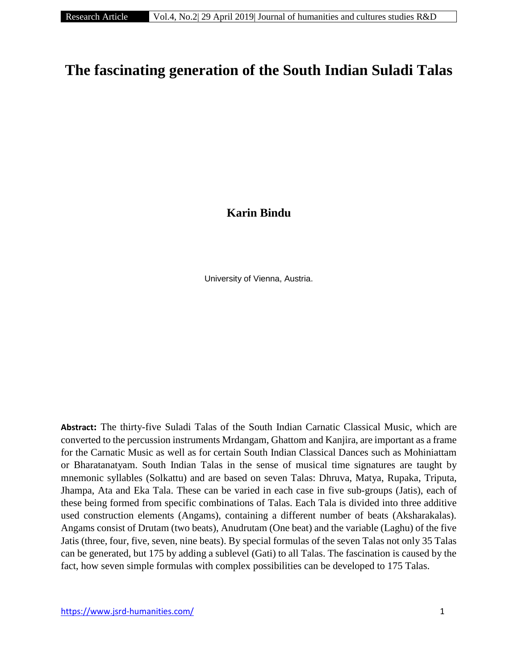# **The fascinating generation of the South Indian Suladi Talas**

**Karin Bindu**

University of Vienna, Austria.

**Abstract:** The thirty-five Suladi Talas of the South Indian Carnatic Classical Music, which are converted to the percussion instruments Mrdangam, Ghattom and Kanjira, are important as a frame for the Carnatic Music as well as for certain South Indian Classical Dances such as Mohiniattam or Bharatanatyam. South Indian Talas in the sense of musical time signatures are taught by mnemonic syllables (Solkattu) and are based on seven Talas: Dhruva, Matya, Rupaka, Triputa, Jhampa, Ata and Eka Tala. These can be varied in each case in five sub-groups (Jatis), each of these being formed from specific combinations of Talas. Each Tala is divided into three additive used construction elements (Angams), containing a different number of beats (Aksharakalas). Angams consist of Drutam (two beats), Anudrutam (One beat) and the variable (Laghu) of the five Jatis (three, four, five, seven, nine beats). By special formulas of the seven Talas not only 35 Talas can be generated, but 175 by adding a sublevel (Gati) to all Talas. The fascination is caused by the fact, how seven simple formulas with complex possibilities can be developed to 175 Talas.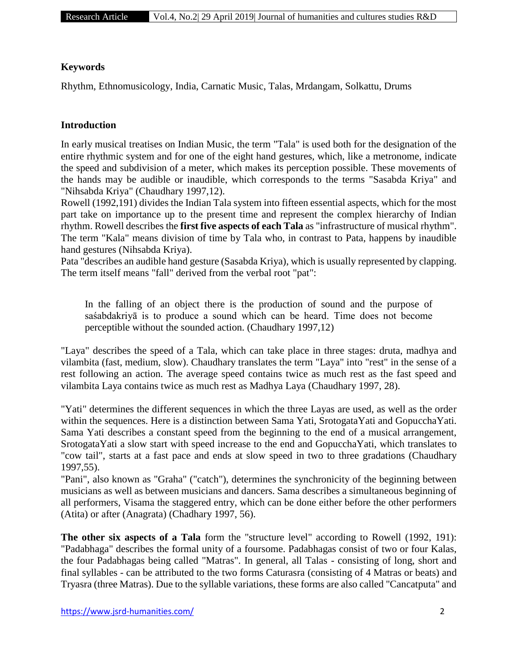#### **Keywords**

Rhythm, Ethnomusicology, India, Carnatic Music, Talas, Mrdangam, Solkattu, Drums

#### **Introduction**

In early musical treatises on Indian Music, the term "Tala" is used both for the designation of the entire rhythmic system and for one of the eight hand gestures, which, like a metronome, indicate the speed and subdivision of a meter, which makes its perception possible. These movements of the hands may be audible or inaudible, which corresponds to the terms "Sasabda Kriya" and "Nihsabda Kriya" (Chaudhary 1997,12).

Rowell (1992,191) divides the Indian Tala system into fifteen essential aspects, which for the most part take on importance up to the present time and represent the complex hierarchy of Indian rhythm. Rowell describes the **first five aspects of each Tala** as "infrastructure of musical rhythm". The term "Kala" means division of time by Tala who, in contrast to Pata, happens by inaudible hand gestures (Nihsabda Kriya).

Pata "describes an audible hand gesture (Sasabda Kriya), which is usually represented by clapping. The term itself means "fall" derived from the verbal root "pat":

In the falling of an object there is the production of sound and the purpose of saśabdakriyā is to produce a sound which can be heard. Time does not become perceptible without the sounded action. (Chaudhary 1997,12)

"Laya" describes the speed of a Tala, which can take place in three stages: druta, madhya and vilambita (fast, medium, slow). Chaudhary translates the term "Laya" into "rest" in the sense of a rest following an action. The average speed contains twice as much rest as the fast speed and vilambita Laya contains twice as much rest as Madhya Laya (Chaudhary 1997, 28).

"Yati" determines the different sequences in which the three Layas are used, as well as the order within the sequences. Here is a distinction between Sama Yati, SrotogataYati and GopucchaYati. Sama Yati describes a constant speed from the beginning to the end of a musical arrangement, SrotogataYati a slow start with speed increase to the end and GopucchaYati, which translates to "cow tail", starts at a fast pace and ends at slow speed in two to three gradations (Chaudhary 1997,55).

"Pani", also known as "Graha" ("catch"), determines the synchronicity of the beginning between musicians as well as between musicians and dancers. Sama describes a simultaneous beginning of all performers, Visama the staggered entry, which can be done either before the other performers (Atita) or after (Anagrata) (Chadhary 1997, 56).

**The other six aspects of a Tala** form the "structure level" according to Rowell (1992, 191): "Padabhaga" describes the formal unity of a foursome. Padabhagas consist of two or four Kalas, the four Padabhagas being called "Matras". In general, all Talas - consisting of long, short and final syllables - can be attributed to the two forms Caturasra (consisting of 4 Matras or beats) and Tryasra (three Matras). Due to the syllable variations, these forms are also called "Cancatputa" and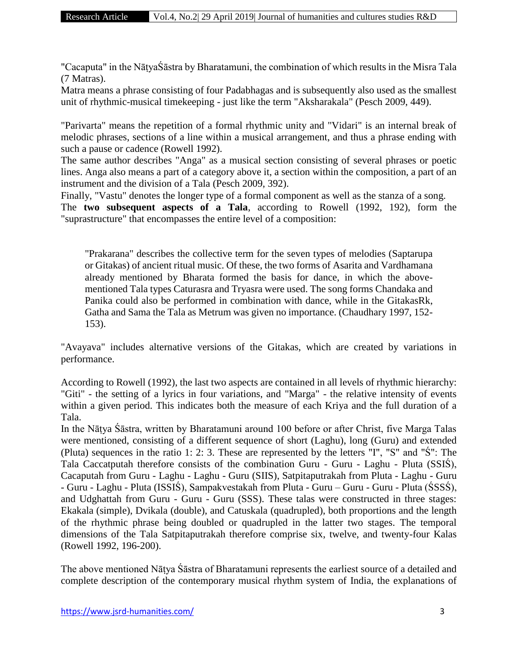"Cacaputa" in the NāṭyaŚāstra by Bharatamuni, the combination of which results in the Misra Tala (7 Matras).

Matra means a phrase consisting of four Padabhagas and is subsequently also used as the smallest unit of rhythmic-musical timekeeping - just like the term "Aksharakala" (Pesch 2009, 449).

"Parivarta" means the repetition of a formal rhythmic unity and "Vidari" is an internal break of melodic phrases, sections of a line within a musical arrangement, and thus a phrase ending with such a pause or cadence (Rowell 1992).

The same author describes "Anga" as a musical section consisting of several phrases or poetic lines. Anga also means a part of a category above it, a section within the composition, a part of an instrument and the division of a Tala (Pesch 2009, 392).

Finally, "Vastu" denotes the longer type of a formal component as well as the stanza of a song. The **two subsequent aspects of a Tala**, according to Rowell (1992, 192), form the "suprastructure" that encompasses the entire level of a composition:

"Prakarana" describes the collective term for the seven types of melodies (Saptarupa or Gitakas) of ancient ritual music. Of these, the two forms of Asarita and Vardhamana already mentioned by Bharata formed the basis for dance, in which the abovementioned Tala types Caturasra and Tryasra were used. The song forms Chandaka and Panika could also be performed in combination with dance, while in the GitakasRk, Gatha and Sama the Tala as Metrum was given no importance. (Chaudhary 1997, 152- 153).

"Avayava" includes alternative versions of the Gitakas, which are created by variations in performance.

According to Rowell (1992), the last two aspects are contained in all levels of rhythmic hierarchy: "Giti" - the setting of a lyrics in four variations, and "Marga" - the relative intensity of events within a given period. This indicates both the measure of each Kriya and the full duration of a Tala.

In the Nāṭya Śāstra, written by Bharatamuni around 100 before or after Christ, five Marga Talas were mentioned, consisting of a different sequence of short (Laghu), long (Guru) and extended (Pluta) sequences in the ratio 1: 2: 3. These are represented by the letters "I", "S" and "Ś": The Tala Caccatputah therefore consists of the combination Guru - Guru - Laghu - Pluta (SSIŚ), Cacaputah from Guru - Laghu - Laghu - Guru (SIIS), Satpitaputrakah from Pluta - Laghu - Guru - Guru - Laghu - Pluta (ISSIŚ), Sampakvestakah from Pluta - Guru – Guru - Guru - Pluta (ŚSSŚ), and Udghattah from Guru - Guru - Guru (SSS). These talas were constructed in three stages: Ekakala (simple), Dvikala (double), and Catuskala (quadrupled), both proportions and the length of the rhythmic phrase being doubled or quadrupled in the latter two stages. The temporal dimensions of the Tala Satpitaputrakah therefore comprise six, twelve, and twenty-four Kalas (Rowell 1992, 196-200).

The above mentioned Nāṭya Śāstra of Bharatamuni represents the earliest source of a detailed and complete description of the contemporary musical rhythm system of India, the explanations of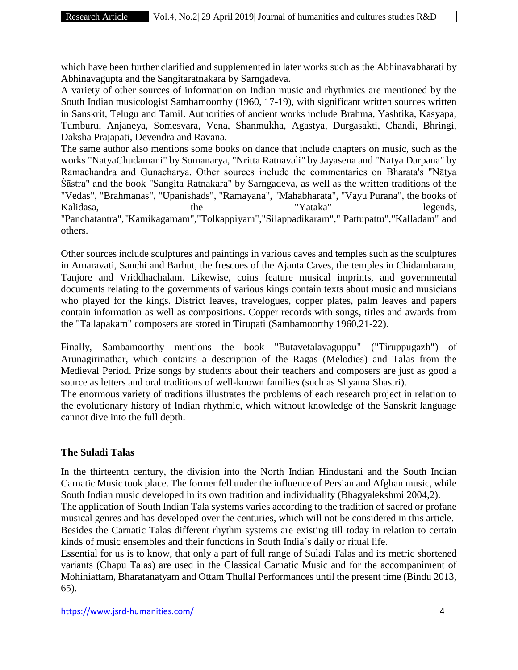which have been further clarified and supplemented in later works such as the Abhinavabharati by Abhinavagupta and the Sangitaratnakara by Sarngadeva.

A variety of other sources of information on Indian music and rhythmics are mentioned by the South Indian musicologist Sambamoorthy (1960, 17-19), with significant written sources written in Sanskrit, Telugu and Tamil. Authorities of ancient works include Brahma, Yashtika, Kasyapa, Tumburu, Anjaneya, Somesvara, Vena, Shanmukha, Agastya, Durgasakti, Chandi, Bhringi, Daksha Prajapati, Devendra and Ravana.

The same author also mentions some books on dance that include chapters on music, such as the works "NatyaChudamani" by Somanarya, "Nritta Ratnavali" by Jayasena and "Natya Darpana" by Ramachandra and Gunacharya. Other sources include the commentaries on Bharata's "Nāṭya Śāstra" and the book "Sangita Ratnakara" by Sarngadeva, as well as the written traditions of the "Vedas", "Brahmanas", "Upanishads", "Ramayana", "Mahabharata", "Vayu Purana", the books of Kalidasa, the the "Yataka" legends, "Panchatantra","Kamikagamam","Tolkappiyam","Silappadikaram"," Pattupattu","Kalladam" and others.

Other sources include sculptures and paintings in various caves and temples such as the sculptures in Amaravati, Sanchi and Barhut, the frescoes of the Ajanta Caves, the temples in Chidambaram, Tanjore and Vriddhachalam. Likewise, coins feature musical imprints, and governmental documents relating to the governments of various kings contain texts about music and musicians who played for the kings. District leaves, travelogues, copper plates, palm leaves and papers contain information as well as compositions. Copper records with songs, titles and awards from the "Tallapakam" composers are stored in Tirupati (Sambamoorthy 1960,21-22).

Finally, Sambamoorthy mentions the book "Butavetalavaguppu" ("Tiruppugazh") of Arunagirinathar, which contains a description of the Ragas (Melodies) and Talas from the Medieval Period. Prize songs by students about their teachers and composers are just as good a source as letters and oral traditions of well-known families (such as Shyama Shastri).

The enormous variety of traditions illustrates the problems of each research project in relation to the evolutionary history of Indian rhythmic, which without knowledge of the Sanskrit language cannot dive into the full depth.

# **The Suladi Talas**

In the thirteenth century, the division into the North Indian Hindustani and the South Indian Carnatic Music took place. The former fell under the influence of Persian and Afghan music, while South Indian music developed in its own tradition and individuality (Bhagyalekshmi 2004,2).

The application of South Indian Tala systems varies according to the tradition of sacred or profane musical genres and has developed over the centuries, which will not be considered in this article.

Besides the Carnatic Talas different rhythm systems are existing till today in relation to certain kinds of music ensembles and their functions in South India´s daily or ritual life.

Essential for us is to know, that only a part of full range of Suladi Talas and its metric shortened variants (Chapu Talas) are used in the Classical Carnatic Music and for the accompaniment of Mohiniattam, Bharatanatyam and Ottam Thullal Performances until the present time (Bindu 2013, 65).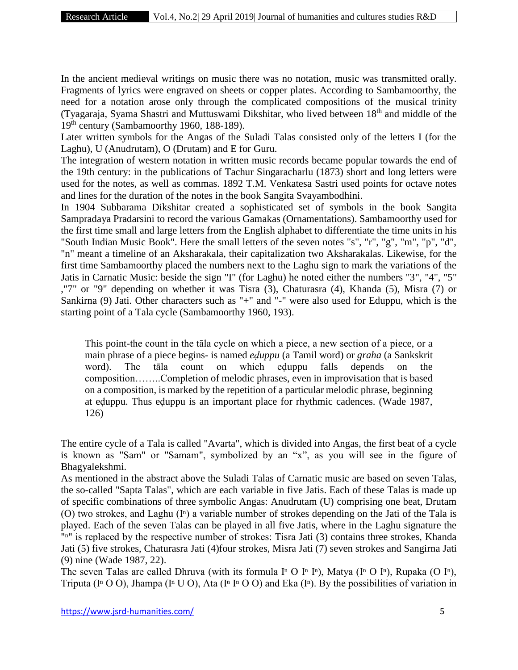In the ancient medieval writings on music there was no notation, music was transmitted orally. Fragments of lyrics were engraved on sheets or copper plates. According to Sambamoorthy, the need for a notation arose only through the complicated compositions of the musical trinity (Tyagaraja, Syama Shastri and Muttuswami Dikshitar, who lived between 18th and middle of the 19th century (Sambamoorthy 1960, 188-189).

Later written symbols for the Angas of the Suladi Talas consisted only of the letters I (for the Laghu), U (Anudrutam), O (Drutam) and E for Guru.

The integration of western notation in written music records became popular towards the end of the 19th century: in the publications of Tachur Singaracharlu (1873) short and long letters were used for the notes, as well as commas. 1892 T.M. Venkatesa Sastri used points for octave notes and lines for the duration of the notes in the book Sangita Svayambodhini.

In 1904 Subbarama Dikshitar created a sophisticated set of symbols in the book Sangita Sampradaya Pradarsini to record the various Gamakas (Ornamentations). Sambamoorthy used for the first time small and large letters from the English alphabet to differentiate the time units in his "South Indian Music Book". Here the small letters of the seven notes "s", "r", "g", "m", "p", "d", "n" meant a timeline of an Aksharakala, their capitalization two Aksharakalas. Likewise, for the first time Sambamoorthy placed the numbers next to the Laghu sign to mark the variations of the Jatis in Carnatic Music: beside the sign "I" (for Laghu) he noted either the numbers "3", "4", "5" ,"7" or "9" depending on whether it was Tisra (3), Chaturasra (4), Khanda (5), Misra (7) or Sankirna (9) Jati. Other characters such as "+" and "-" were also used for Eduppu, which is the starting point of a Tala cycle (Sambamoorthy 1960, 193).

This point-the count in the tāla cycle on which a piece, a new section of a piece, or a main phrase of a piece begins- is named *eḍuppu* (a Tamil word) or *graha* (a Sankskrit word). The tāla count on which eḍuppu falls depends on the composition……..Completion of melodic phrases, even in improvisation that is based on a composition, is marked by the repetition of a particular melodic phrase, beginning at eḍuppu. Thus eḍuppu is an important place for rhythmic cadences. (Wade 1987, 126)

The entire cycle of a Tala is called "Avarta", which is divided into Angas, the first beat of a cycle is known as "Sam" or "Samam", symbolized by an "x", as you will see in the figure of Bhagyalekshmi.

As mentioned in the abstract above the Suladi Talas of Carnatic music are based on seven Talas, the so-called "Sapta Talas", which are each variable in five Jatis. Each of these Talas is made up of specific combinations of three symbolic Angas: Anudrutam (U) comprising one beat, Drutam (O) two strokes, and Laghu  $(I<sup>n</sup>)$  a variable number of strokes depending on the Jati of the Tala is played. Each of the seven Talas can be played in all five Jatis, where in the Laghu signature the "n" is replaced by the respective number of strokes: Tisra Jati (3) contains three strokes, Khanda Jati (5) five strokes, Chaturasra Jati (4)four strokes, Misra Jati (7) seven strokes and Sangirna Jati (9) nine (Wade 1987, 22).

The seven Talas are called Dhruva (with its formula I<sup>n</sup> O I<sup>n</sup> I<sup>n</sup>), Matya (I<sup>n</sup> O I<sup>n</sup>), Rupaka (O I<sup>n</sup>), Triputa (I<sup>n</sup> O O), Jhampa (I<sup>n</sup> U O), Ata (I<sup>n</sup> I<sup>n</sup> O O) and Eka (I<sup>n</sup>). By the possibilities of variation in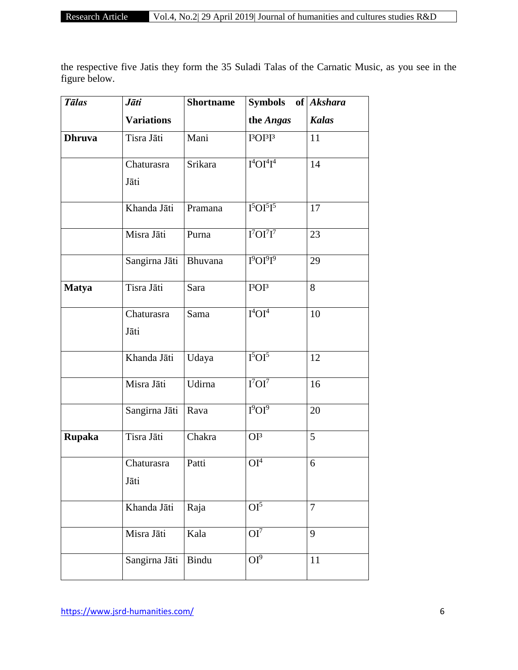the respective five Jatis they form the 35 Suladi Talas of the Carnatic Music, as you see in the figure below.

| <b>Tālas</b>  | Jāti              | <b>Shortname</b> | <b>Symbols</b>                 | of Akshara     |  |
|---------------|-------------------|------------------|--------------------------------|----------------|--|
|               | <b>Variations</b> |                  | the Angas                      | <b>Kalas</b>   |  |
| <b>Dhruva</b> | Tisra Jāti        | Mani             | $I3OI3I3$                      | 11             |  |
|               | Chaturasra        | Srikara          | $I^4OI^4I^4$                   | 14             |  |
|               | Jāti              |                  |                                |                |  |
|               | Khanda Jāti       | Pramana          | $I5OI5I5$                      | 17             |  |
|               | Misra Jāti        | Purna            | $I7OI7I7$                      | 23             |  |
|               | Sangirna Jāti     | Bhuvana          | $I^9OI^9I^9$                   | 29             |  |
| <b>Matya</b>  | Tisra Jāti        | Sara             | I <sup>3</sup> OI <sup>3</sup> | 8              |  |
|               | Chaturasra        | Sama             | $I^4OI^4$                      | 10             |  |
|               | Jāti              |                  |                                |                |  |
|               | Khanda Jāti       | Udaya            | I <sup>5</sup> OI <sup>5</sup> | 12             |  |
|               | Misra Jāti        | Udirna           | I <sup>7</sup> OI <sup>7</sup> | 16             |  |
|               | Sangirna Jāti     | Rava             | I <sup>9</sup> OI <sup>9</sup> | 20             |  |
| <b>Rupaka</b> | Tisra Jāti        | Chakra           | $OI^3$                         | 5              |  |
|               | Chaturasra        | Patti            | $OI^{\overline{4}}$            | 6              |  |
|               | Jāti              |                  |                                |                |  |
|               | Khanda Jāti       | Raja             | $OI^5$                         | $\overline{7}$ |  |
|               | Misra Jāti        | Kala             | OI <sup>7</sup>                | 9              |  |
|               | Sangirna Jāti     | <b>Bindu</b>     | $OI^9$                         | 11             |  |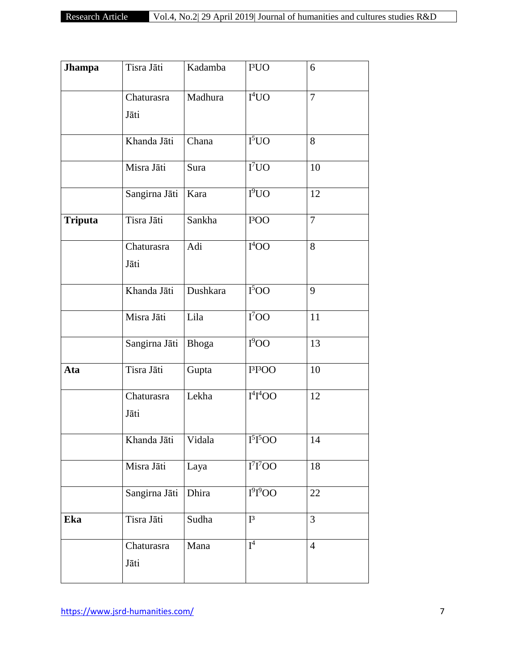| <b>Jhampa</b>  | Tisra Jāti         | Kadamba      | I <sup>3</sup> UO                | 6              |
|----------------|--------------------|--------------|----------------------------------|----------------|
|                | Chaturasra<br>Jāti | Madhura      | $I^4$ UO                         | $\overline{7}$ |
|                | Khanda Jāti        | Chana        | I <sup>5</sup> UO                | 8              |
|                | Misra Jāti         | Sura         | $\overline{I^7UO}$               | 10             |
|                | Sangirna Jāti      | Kara         | $I^{9}UO$                        | 12             |
| <b>Triputa</b> | Tisra Jāti         | Sankha       | I <sup>3</sup> OO                | $\overline{7}$ |
|                | Chaturasra<br>Jāti | Adi          | I <sup>4</sup> OO                | 8              |
|                | Khanda Jāti        | Dushkara     | $\overline{I^500}$               | 9              |
|                | Misra Jāti         | Lila         | $\overline{I^7OO}$               | 11             |
|                | Sangirna Jāti      | <b>Bhoga</b> | 1 <sup>9</sup> OO                | 13             |
| Ata            | Tisra Jāti         | Gupta        | I <sup>3</sup> I <sup>3</sup> OO | 10             |
|                | Chaturasra<br>Jāti | Lekha        | $I^4I^4OO$                       | 12             |
|                | Khanda Jāti        | Vidala       | I <sup>5</sup> I <sup>5</sup> OO | 14             |
|                | Misra Jāti         | Laya         | I <sup>7</sup> I <sup>7</sup> OO | 18             |
|                | Sangirna Jāti      | Dhira        | $I^{9}I^{9}OO$                   | 22             |
| Eka            | Tisra Jāti         | Sudha        | $I^3$                            | $\overline{3}$ |
|                | Chaturasra<br>Jāti | Mana         | $I^4$                            | $\overline{4}$ |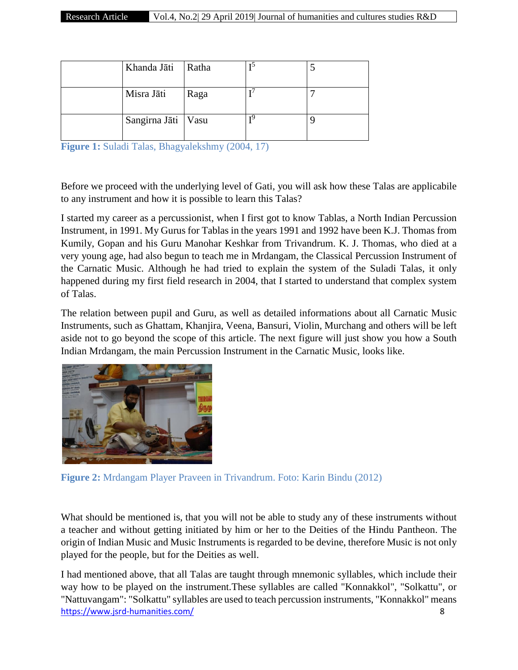| Khanda Jāti          | Ratha |    |  |
|----------------------|-------|----|--|
| Misra Jāti           | Raga  |    |  |
| Sangirna Jāti   Vasu |       | тQ |  |

**Figure 1:** Suladi Talas, Bhagyalekshmy (2004, 17)

Before we proceed with the underlying level of Gati, you will ask how these Talas are applicabile to any instrument and how it is possible to learn this Talas?

I started my career as a percussionist, when I first got to know Tablas, a North Indian Percussion Instrument, in 1991. My Gurus for Tablas in the years 1991 and 1992 have been K.J. Thomas from Kumily, Gopan and his Guru Manohar Keshkar from Trivandrum. K. J. Thomas, who died at a very young age, had also begun to teach me in Mrdangam, the Classical Percussion Instrument of the Carnatic Music. Although he had tried to explain the system of the Suladi Talas, it only happened during my first field research in 2004, that I started to understand that complex system of Talas.

The relation between pupil and Guru, as well as detailed informations about all Carnatic Music Instruments, such as Ghattam, Khanjira, Veena, Bansuri, Violin, Murchang and others will be left aside not to go beyond the scope of this article. The next figure will just show you how a South Indian Mrdangam, the main Percussion Instrument in the Carnatic Music, looks like.



**Figure 2:** Mrdangam Player Praveen in Trivandrum. Foto: Karin Bindu (2012)

What should be mentioned is, that you will not be able to study any of these instruments without a teacher and without getting initiated by him or her to the Deities of the Hindu Pantheon. The origin of Indian Music and Music Instruments is regarded to be devine, therefore Music is not only played for the people, but for the Deities as well.

<https://www.jsrd-humanities.com/> 8 I had mentioned above, that all Talas are taught through mnemonic syllables, which include their way how to be played on the instrument.These syllables are called "Konnakkol", "Solkattu", or "Nattuvangam": "Solkattu" syllables are used to teach percussion instruments, "Konnakkol" means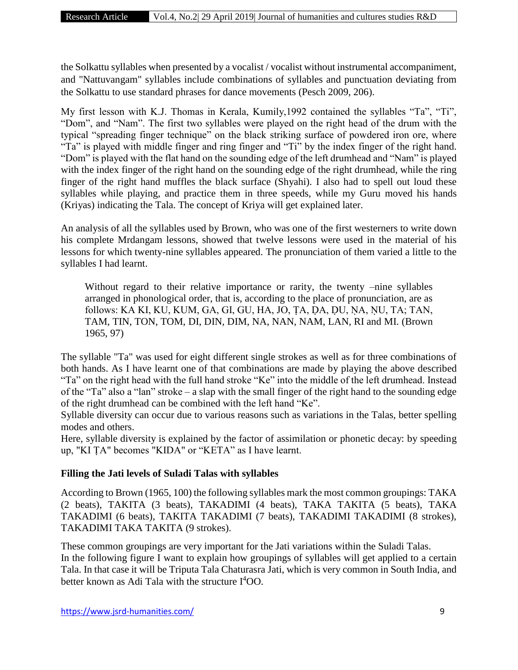the Solkattu syllables when presented by a vocalist / vocalist without instrumental accompaniment, and "Nattuvangam" syllables include combinations of syllables and punctuation deviating from the Solkattu to use standard phrases for dance movements (Pesch 2009, 206).

My first lesson with K.J. Thomas in Kerala, Kumily,1992 contained the syllables "Ta", "Ti", "Dom", and "Nam". The first two syllables were played on the right head of the drum with the typical "spreading finger technique" on the black striking surface of powdered iron ore, where "Ta" is played with middle finger and ring finger and "Ti" by the index finger of the right hand. "Dom" is played with the flat hand on the sounding edge of the left drumhead and "Nam" is played with the index finger of the right hand on the sounding edge of the right drumhead, while the ring finger of the right hand muffles the black surface (Shyahi). I also had to spell out loud these syllables while playing, and practice them in three speeds, while my Guru moved his hands (Kriyas) indicating the Tala. The concept of Kriya will get explained later.

An analysis of all the syllables used by Brown, who was one of the first westerners to write down his complete Mrdangam lessons, showed that twelve lessons were used in the material of his lessons for which twenty-nine syllables appeared. The pronunciation of them varied a little to the syllables I had learnt.

Without regard to their relative importance or rarity, the twenty –nine syllables arranged in phonological order, that is, according to the place of pronunciation, are as follows: KA KI, KU, KUM, GA, GI, GU, HA, JO, ṬA, ḌA, ḌU, ṆA, ṆU, TA; TAN, TAM, TIN, TON, TOM, DI, DIN, DIM, NA, NAN, NAM, LAN, RI and MI. (Brown 1965, 97)

The syllable "Ta" was used for eight different single strokes as well as for three combinations of both hands. As I have learnt one of that combinations are made by playing the above described "Ta" on the right head with the full hand stroke "Ke" into the middle of the left drumhead. Instead of the "Ta" also a "lan" stroke – a slap with the small finger of the right hand to the sounding edge of the right drumhead can be combined with the left hand "Ke".

Syllable diversity can occur due to various reasons such as variations in the Talas, better spelling modes and others.

Here, syllable diversity is explained by the factor of assimilation or phonetic decay: by speeding up, "KI ṬA" becomes "KIDA" or "KETA" as I have learnt.

# **Filling the Jati levels of Suladi Talas with syllables**

According to Brown (1965, 100) the following syllables mark the most common groupings: TAKA (2 beats), TAKITA (3 beats), TAKADIMI (4 beats), TAKA TAKITA (5 beats), TAKA TAKADIMI (6 beats), TAKITA TAKADIMI (7 beats), TAKADIMI TAKADIMI (8 strokes), TAKADIMI TAKA TAKITA (9 strokes).

These common groupings are very important for the Jati variations within the Suladi Talas. In the following figure I want to explain how groupings of syllables will get applied to a certain Tala. In that case it will be Triputa Tala Chaturasra Jati, which is very common in South India, and better known as Adi Tala with the structure I <sup>4</sup>OO.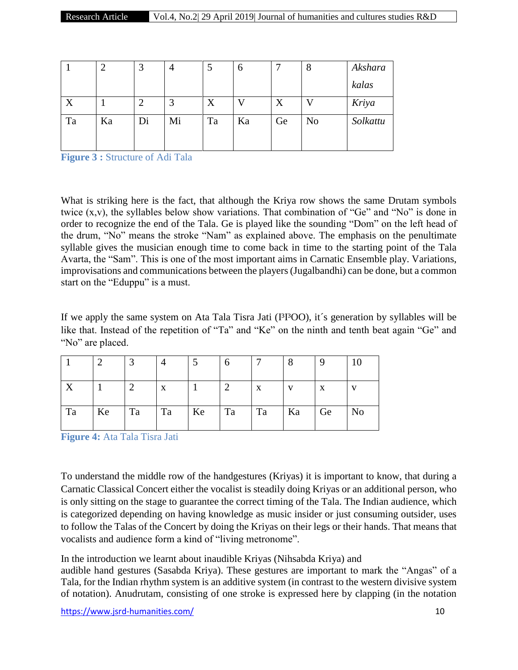|    |    | 3  | 4  |    | O  | −  | 8              | Akshara  |
|----|----|----|----|----|----|----|----------------|----------|
|    |    |    |    |    |    |    |                | kalas    |
| X  |    |    | 3  | X  |    | X  |                | Kriya    |
| Ta | Ka | Di | Mi | Ta | Ka | Ge | N <sub>o</sub> | Solkattu |

**Figure 3 :** Structure of Adi Tala

What is striking here is the fact, that although the Kriya row shows the same Drutam symbols twice (x,v), the syllables below show variations. That combination of "Ge" and "No" is done in order to recognize the end of the Tala. Ge is played like the sounding "Dom" on the left head of the drum, "No" means the stroke "Nam" as explained above. The emphasis on the penultimate syllable gives the musician enough time to come back in time to the starting point of the Tala Avarta, the "Sam". This is one of the most important aims in Carnatic Ensemble play. Variations, improvisations and communications between the players (Jugalbandhi) can be done, but a common start on the "Eduppu" is a must.

If we apply the same system on Ata Tala Tisra Jati (I<sup>3</sup>I<sup>3</sup>OO), it's generation by syllables will be like that. Instead of the repetition of "Ta" and "Ke" on the ninth and tenth beat again "Ge" and "No" are placed.

|                  |    |    |    |    | n  |    |              |    | 10 |
|------------------|----|----|----|----|----|----|--------------|----|----|
| $\boldsymbol{X}$ |    | ി  | X  |    | ⌒  | X  | $\mathbf{V}$ | X  | v  |
| Ta               | Ke | Ta | Ta | Ke | Ta | Ta | Ka           | Ge | No |

**Figure 4:** Ata Tala Tisra Jati

To understand the middle row of the handgestures (Kriyas) it is important to know, that during a Carnatic Classical Concert either the vocalist is steadily doing Kriyas or an additional person, who is only sitting on the stage to guarantee the correct timing of the Tala. The Indian audience, which is categorized depending on having knowledge as music insider or just consuming outsider, uses to follow the Talas of the Concert by doing the Kriyas on their legs or their hands. That means that vocalists and audience form a kind of "living metronome".

In the introduction we learnt about inaudible Kriyas (Nihsabda Kriya) and

audible hand gestures (Sasabda Kriya). These gestures are important to mark the "Angas" of a Tala, for the Indian rhythm system is an additive system (in contrast to the western divisive system of notation). Anudrutam, consisting of one stroke is expressed here by clapping (in the notation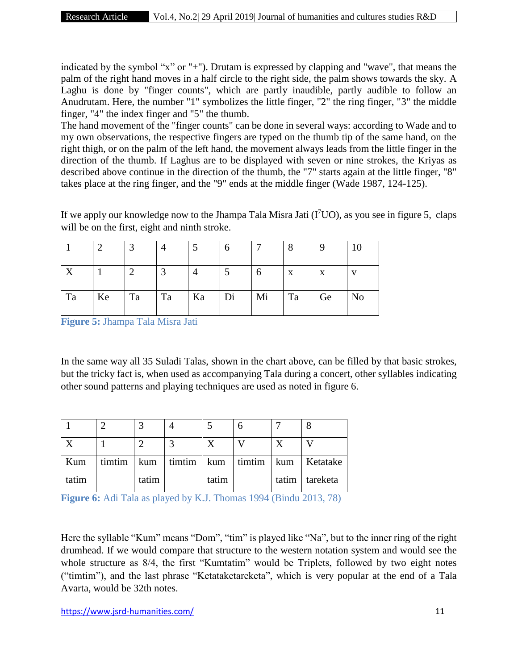indicated by the symbol "x" or "+"). Drutam is expressed by clapping and "wave", that means the palm of the right hand moves in a half circle to the right side, the palm shows towards the sky. A Laghu is done by "finger counts", which are partly inaudible, partly audible to follow an Anudrutam. Here, the number "1" symbolizes the little finger, "2" the ring finger, "3" the middle finger, "4" the index finger and "5" the thumb.

The hand movement of the "finger counts" can be done in several ways: according to Wade and to my own observations, the respective fingers are typed on the thumb tip of the same hand, on the right thigh, or on the palm of the left hand, the movement always leads from the little finger in the direction of the thumb. If Laghus are to be displayed with seven or nine strokes, the Kriyas as described above continue in the direction of the thumb, the "7" starts again at the little finger, "8" takes place at the ring finger, and the "9" ends at the middle finger (Wade 1987, 124-125).

If we apply our knowledge now to the Jhampa Tala Misra Jati  $(I<sup>7</sup>UO)$ , as you see in figure 5, claps will be on the first, eight and ninth stroke.

|    |    | ⌒          |    |    |    |    | $\circ$ |             | 10 |
|----|----|------------|----|----|----|----|---------|-------------|----|
| Δ  |    | $\sqrt{2}$ |    |    |    |    | X       | $\mathbf X$ |    |
| Ta | Ke | Ta         | Ta | Ka | Di | Mi | Ta      | Ge          | No |

**Figure 5:** Jhampa Tala Misra Jati

In the same way all 35 Suladi Talas, shown in the chart above, can be filled by that basic strokes, but the tricky fact is, when used as accompanying Tala during a concert, other syllables indicating other sound patterns and playing techniques are used as noted in figure 6.

| Kum   |       |       |  | timtim   kum   timtim   kum   timtim   kum   Ketatake |
|-------|-------|-------|--|-------------------------------------------------------|
| tatim | tatim | tatim |  | tatim   tareketa                                      |

**Figure 6:** Adi Tala as played by K.J. Thomas 1994 (Bindu 2013, 78)

Here the syllable "Kum" means "Dom", "tim" is played like "Na", but to the inner ring of the right drumhead. If we would compare that structure to the western notation system and would see the whole structure as  $8/4$ , the first "Kumtatim" would be Triplets, followed by two eight notes ("timtim"), and the last phrase "Ketataketareketa", which is very popular at the end of a Tala Avarta, would be 32th notes.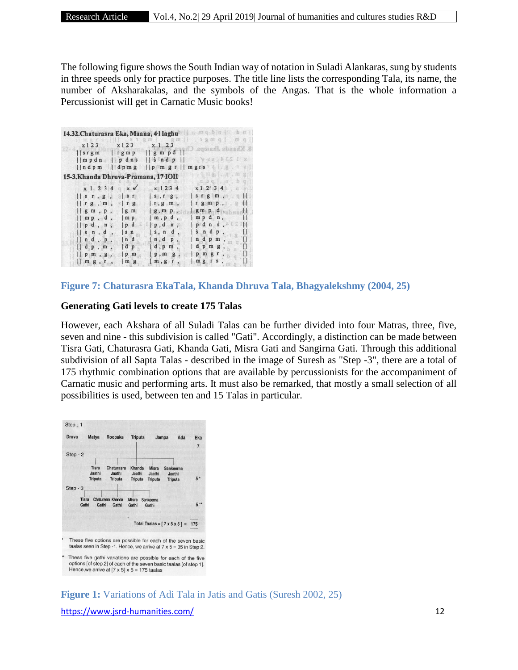The following figure shows the South Indian way of notation in Suladi Alankaras, sung by students in three speeds only for practice purposes. The title line lists the corresponding Tala, its name, the number of Aksharakalas, and the symbols of the Angas. That is the whole information a Percussionist will get in Carnatic Music books!

| 14.32. Chaturasra Eka, Maana, 4-l laghu                                           |                                         | 心意<br>道                                   |
|-----------------------------------------------------------------------------------|-----------------------------------------|-------------------------------------------|
| x123<br>x123                                                                      | 1. 8 7 双面 1. 又距<br>x 1 2 3              | 四 章<br>爆<br>王 夏 印<br>8. Khanda Jhampa. Cl |
| $\lfloor$ r g m p<br>$\log r$ gm                                                  |                                         |                                           |
| $\lvert \lvert m p d n \rvert \rvert \rvert p d n s \rvert \rvert s n d p \rvert$ |                                         | NXXXALIX                                  |
| $\ln d$ pm $\ln g$                                                                | $\vert \vert p \vert m g r \vert \vert$ | mgrs                                      |
| 15-3. Khanda Dhruva-Pramana, 17-IOII                                              |                                         |                                           |
|                                                                                   |                                         | $\Omega_{\text{m}}$ D $Q_{\text{m}}$      |
| $x \checkmark$<br>x 1 2 3 4                                                       | x 1234                                  | x1234                                     |
| $\vert s \tau, g \rangle$<br>ST                                                   | S, I, g,                                | $s \, r \, g \, m$ ,                      |
| $\parallel$ r g $,$ m,<br>$\vert$ r g                                             | $r, g, m$ ,                             | $rgm p$ ,                                 |
| $\parallel$ g m, p,<br> g m                                                       | g, m, p,                                | $gm p d$ ,                                |
| $\parallel$ mp, d,<br>$\mathsf{m}$ $\mathsf{p}$                                   | $m$ , $p$ $d$ ,                         | mpdn,                                     |
| $\vert \vert p d$ , n,<br> p                                                      | $ p, d n$ ,                             | $p$ d n s, $\leq$                         |
| $ \sin$<br>sin, d,                                                                | s, n d                                  | s n d p                                   |
| n d<br>$n$ d, $p$ ,                                                               | n, d p                                  | ndpm                                      |
| dp<br>dp, m,                                                                      | $d$ , $p$ m                             | $dp$ m g                                  |
| $p$ m, $g$ ,<br>$ p \ m$                                                          | p, m, g                                 | $p$ m $g$                                 |
| mg<br>m g, r,                                                                     | m, g<br>r                               | $mg$ $rs$ ,                               |

**Figure 7: Chaturasra EkaTala, Khanda Dhruva Tala, Bhagyalekshmy (2004, 25)**

#### **Generating Gati levels to create 175 Talas**

However, each Akshara of all Suladi Talas can be further divided into four Matras, three, five, seven and nine - this subdivision is called "Gati". Accordingly, a distinction can be made between Tisra Gati, Chaturasra Gati, Khanda Gati, Misra Gati and Sangirna Gati. Through this additional subdivision of all Sapta Talas - described in the image of Suresh as "Step -3", there are a total of 175 rhythmic combination options that are available by percussionists for the accompaniment of Carnatic music and performing arts. It must also be remarked, that mostly a small selection of all possibilities is used, between ten and 15 Talas in particular.



taalas seen in Step -1. Hence, we arrive at  $7 \times 5 = 35$  in Step 2.

These five gathi variations are possible for each of the five options [of step 2] of each of the seven basic taalas [of step 1].<br>Hence, we arrive at [7 x 5]  $\times$  5 = 175 taalas

<https://www.jsrd-humanities.com/> 12 **Figure 1:** Variations of Adi Tala in Jatis and Gatis (Suresh 2002, 25)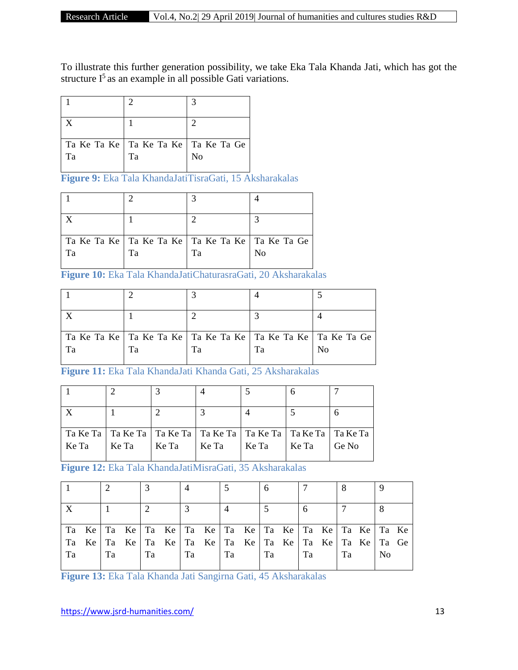To illustrate this further generation possibility, we take Eka Tala Khanda Jati, which has got the structure  $I^5$  as an example in all possible Gati variations.

|                                                 | っ  |                |
|-------------------------------------------------|----|----------------|
|                                                 |    | C              |
| Ta Ke Ta Ke   Ta Ke Ta Ke   Ta Ke Ta Ge  <br>Ta | Ta | N <sub>o</sub> |

**Figure 9:** Eka Tala KhandaJatiTisraGati, 15 Aksharakalas

| Tа | Та                                                    | Tа | N <sub>0</sub> |
|----|-------------------------------------------------------|----|----------------|
|    | Ta Ke Ta Ke   Ta Ke Ta Ke   Ta Ke Ta Ke   Ta Ke Ta Ge |    |                |

**Figure 10:** Eka Tala KhandaJatiChaturasraGati, 20 Aksharakalas

|    |    |    |    | Ta Ke Ta Ke   Ta Ke Ta Ke   Ta Ke Ta Ke   Ta Ke Ta Ke   Ta Ke Ta Ge |
|----|----|----|----|---------------------------------------------------------------------|
| Tа | Τа | Та | Та | N <sub>0</sub>                                                      |
|    |    |    |    |                                                                     |

**Figure 11:** Eka Tala KhandaJati Khanda Gati, 25 Aksharakalas

|       |       |       |       | Ta Ke Ta   Ta Ke Ta   Ta Ke Ta   Ta Ke Ta   Ta Ke Ta   Ta Ke Ta   Ta Ke Ta |       |       |
|-------|-------|-------|-------|----------------------------------------------------------------------------|-------|-------|
| Ke Ta | Ke Ta | Ke Ta | Ke Ta | Ke Ta                                                                      | Ke Ta | Ge No |
|       |       |       |       |                                                                            |       |       |

**Figure 12:** Eka Tala KhandaJatiMisraGati, 35 Aksharakalas

|                                                                     |    |    |    | Take   Take   Take   Take   Take   Take   Take   Take   Take   Take |    |    |    |    |                |  |
|---------------------------------------------------------------------|----|----|----|---------------------------------------------------------------------|----|----|----|----|----------------|--|
| Take   Take   Take   Take   Take   Take   Take   Take   Take   TaGe |    |    |    |                                                                     |    |    |    |    |                |  |
| Ta                                                                  | Ta | Ta | Ta |                                                                     | Ta | Ta | Ta | Ta | N <sub>o</sub> |  |
|                                                                     |    |    |    |                                                                     |    |    |    |    |                |  |

**Figure 13:** Eka Tala Khanda Jati Sangirna Gati, 45 Aksharakalas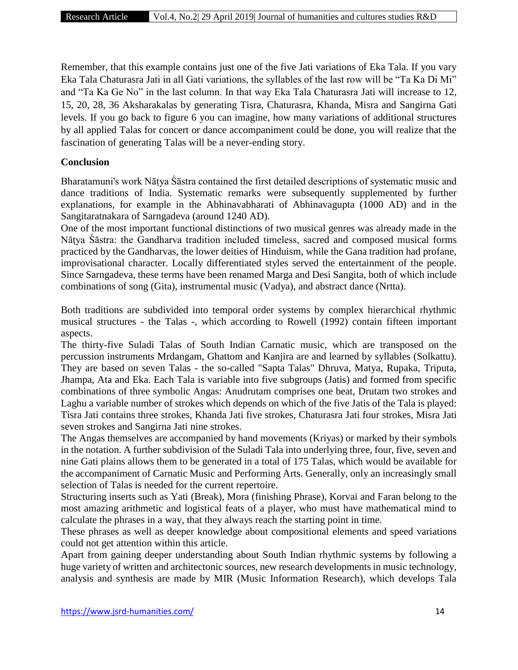Remember, that this example contains just one of the five Jati variations of Eka Tala. If you vary Eka Tala Chaturasra Jati in all Gati variations, the syllables of the last row will be "Ta Ka Di Mi" and "Ta Ka Ge No" in the last column. In that way Eka Tala Chaturasra Jati will increase to 12, 15, 20, 28, 36 Aksharakalas by generating Tisra, Chaturasra, Khanda, Misra and Sangirna Gati levels. If you go back to figure 6 you can imagine, how many variations of additional structures by all applied Talas for concert or dance accompaniment could be done, you will realize that the fascination of generating Talas will be a never-ending story.

### **Conclusion**

Bharatamuni's work Nāṭya Śāstra contained the first detailed descriptions of systematic music and dance traditions of India. Systematic remarks were subsequently supplemented by further explanations, for example in the Abhinavabharati of Abhinavagupta (1000 AD) and in the Sangitaratnakara of Sarngadeva (around 1240 AD).

One of the most important functional distinctions of two musical genres was already made in the Nāṭya Śāstra: the Gandharva tradition included timeless, sacred and composed musical forms practiced by the Gandharvas, the lower deities of Hinduism, while the Gana tradition had profane, improvisational character. Locally differentiated styles served the entertainment of the people. Since Sarngadeva, these terms have been renamed Marga and Desi Sangita, both of which include combinations of song (Gita), instrumental music (Vadya), and abstract dance (Nrtta).

Both traditions are subdivided into temporal order systems by complex hierarchical rhythmic musical structures - the Talas -, which according to Rowell (1992) contain fifteen important aspects.

The thirty-five Suladi Talas of South Indian Carnatic music, which are transposed on the percussion instruments Mrdangam, Ghattom and Kanjira are and learned by syllables (Solkattu). They are based on seven Talas - the so-called "Sapta Talas" Dhruva, Matya, Rupaka, Triputa, Jhampa, Ata and Eka. Each Tala is variable into five subgroups (Jatis) and formed from specific combinations of three symbolic Angas: Anudrutam comprises one beat, Drutam two strokes and Laghu a variable number of strokes which depends on which of the five Jatis of the Tala is played: Tisra Jati contains three strokes, Khanda Jati five strokes, Chaturasra Jati four strokes, Misra Jati seven strokes and Sangirna Jati nine strokes.

The Angas themselves are accompanied by hand movements (Kriyas) or marked by their symbols in the notation. A further subdivision of the Suladi Tala into underlying three, four, five, seven and nine Gati plains allows them to be generated in a total of 175 Talas, which would be available for the accompaniment of Carnatic Music and Performing Arts. Generally, only an increasingly small selection of Talas is needed for the current repertoire.

Structuring inserts such as Yati (Break), Mora (finishing Phrase), Korvai and Faran belong to the most amazing arithmetic and logistical feats of a player, who must have mathematical mind to calculate the phrases in a way, that they always reach the starting point in time.

These phrases as well as deeper knowledge about compositional elements and speed variations could not get attention within this article.

Apart from gaining deeper understanding about South Indian rhythmic systems by following a huge variety of written and architectonic sources, new research developments in music technology, analysis and synthesis are made by MIR (Music Information Research), which develops Tala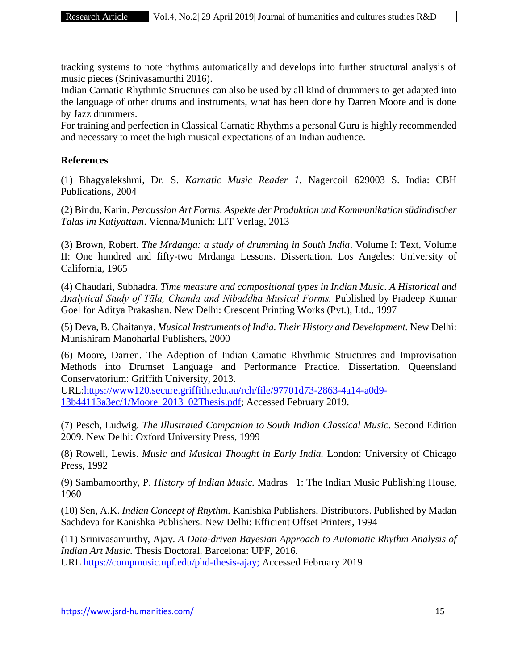tracking systems to note rhythms automatically and develops into further structural analysis of music pieces (Srinivasamurthi 2016).

Indian Carnatic Rhythmic Structures can also be used by all kind of drummers to get adapted into the language of other drums and instruments, what has been done by Darren Moore and is done by Jazz drummers.

For training and perfection in Classical Carnatic Rhythms a personal Guru is highly recommended and necessary to meet the high musical expectations of an Indian audience.

## **References**

(1) Bhagyalekshmi, Dr. S. *Karnatic Music Reader 1.* Nagercoil 629003 S. India: CBH Publications, 2004

(2) Bindu, Karin. *Percussion Art Forms. Aspekte der Produktion und Kommunikation südindischer Talas im Kutiyattam*. Vienna/Munich: LIT Verlag, 2013

(3) Brown, Robert. *The Mrdanga: a study of drumming in South India*. Volume I: Text, Volume II: One hundred and fifty-two Mrdanga Lessons. Dissertation. Los Angeles: University of California, 1965

(4) Chaudari, Subhadra. *Time measure and compositional types in Indian Music. A Historical and Analytical Study of Tāla, Chanda and Nibaddha Musical Forms.* Published by Pradeep Kumar Goel for Aditya Prakashan. New Delhi: Crescent Printing Works (Pvt.), Ltd., 1997

(5) Deva, B. Chaitanya. *Musical Instruments of India. Their History and Development.* New Delhi: Munishiram Manoharlal Publishers, 2000

(6) Moore, Darren. The Adeption of Indian Carnatic Rhythmic Structures and Improvisation Methods into Drumset Language and Performance Practice. Dissertation. Queensland Conservatorium: Griffith University, 2013.

URL[:https://www120.secure.griffith.edu.au/rch/file/97701d73-2863-4a14-a0d9-](https://www120.secure.griffith.edu.au/rch/file/97701d73-2863-4a14-a0d9-13b44113a3ec/1/Moore_2013_02Thesis.pdf) [13b44113a3ec/1/Moore\\_2013\\_02Thesis.pdf;](https://www120.secure.griffith.edu.au/rch/file/97701d73-2863-4a14-a0d9-13b44113a3ec/1/Moore_2013_02Thesis.pdf) Accessed February 2019.

(7) Pesch, Ludwig. *The Illustrated Companion to South Indian Classical Music*. Second Edition 2009. New Delhi: Oxford University Press, 1999

(8) Rowell, Lewis. *Music and Musical Thought in Early India.* London: University of Chicago Press, 1992

(9) Sambamoorthy, P. *History of Indian Music.* Madras –1: The Indian Music Publishing House, 1960

(10) Sen, A.K. *Indian Concept of Rhythm.* Kanishka Publishers, Distributors. Published by Madan Sachdeva for Kanishka Publishers. New Delhi: Efficient Offset Printers, 1994

(11) Srinivasamurthy, Ajay. *A Data-driven Bayesian Approach to Automatic Rhythm Analysis of Indian Art Music.* Thesis Doctoral. Barcelona: UPF, 2016. URL [https://compmusic.upf.edu/phd-thesis-ajay;](https://compmusic.upf.edu/phd-thesis-ajay) Accessed February 2019